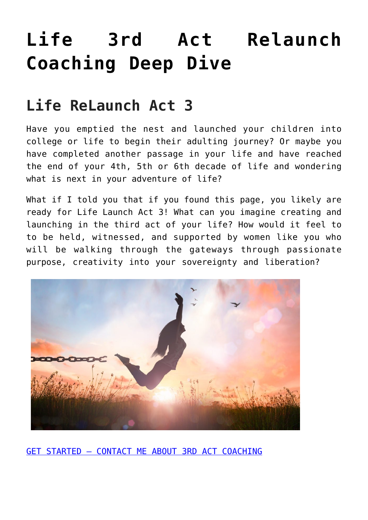# **[Life 3rd Act Relaunch](https://beinghumanlife.com/work-with-nina/3rd-act-relaunch-coaching-deep-dive/) [Coaching Deep Dive](https://beinghumanlife.com/work-with-nina/3rd-act-relaunch-coaching-deep-dive/)**

### **Life ReLaunch Act 3**

Have you emptied the nest and launched your children into college or life to begin their adulting journey? Or maybe you have completed another passage in your life and have reached the end of your 4th, 5th or 6th decade of life and wondering what is next in your adventure of life?

What if I told you that if you found this page, you likely are ready for Life Launch Act 3! What can you imagine creating and launching in the third act of your life? How would it feel to to be held, witnessed, and supported by women like you who will be walking through the gateways through passionate purpose, creativity into your sovereignty and liberation?



[GET STARTED – CONTACT ME ABOUT 3RD ACT COACHING](http://beinghumanlife.com/contact/)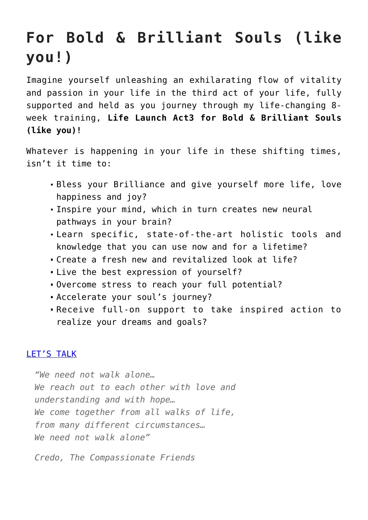## **For Bold & Brilliant Souls (like you!)**

Imagine yourself unleashing an exhilarating flow of vitality and passion in your life in the third act of your life, fully supported and held as you journey through my life-changing 8 week training, **Life Launch Act3 for Bold & Brilliant Souls (like you)!**

Whatever is happening in your life in these shifting times, isn't it time to:

- Bless your Brilliance and give yourself more life, love happiness and joy?
- Inspire your mind, which in turn creates new neural pathways in your brain?
- Learn specific, state-of-the-art holistic tools and knowledge that you can use now and for a lifetime?
- Create a fresh new and revitalized look at life?
- Live the best expression of yourself?
- Overcome stress to reach your full potential?
- Accelerate your soul's journey?
- Receive full-on support to take inspired action to realize your dreams and goals?

#### [LET'S TALK](http://beinghumanlife.com/contact/)

*"We need not walk alone… We reach out to each other with love and understanding and with hope… We come together from all walks of life, from many different circumstances… We need not walk alone"*

*Credo, The Compassionate Friends*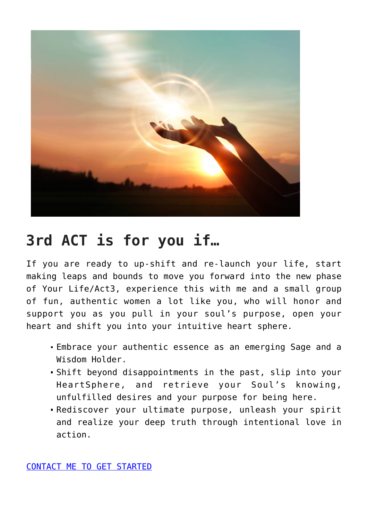

#### **3rd ACT is for you if…**

If you are ready to up-shift and re-launch your life, start making leaps and bounds to move you forward into the new phase of Your Life/Act3, experience this with me and a small group of fun, authentic women a lot like you, who will honor and support you as you pull in your soul's purpose, open your heart and shift you into your intuitive heart sphere.

- Embrace your authentic essence as an emerging Sage and a Wisdom Holder.
- Shift beyond disappointments in the past, slip into your HeartSphere, and retrieve your Soul's knowing, unfulfilled desires and your purpose for being here.
- Rediscover your ultimate purpose, unleash your spirit and realize your deep truth through intentional love in action.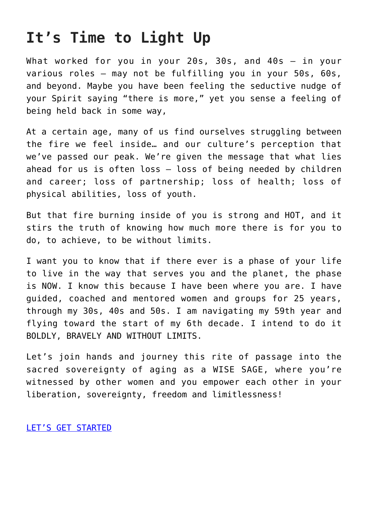#### **It's Time to Light Up**

What worked for you in your 20s, 30s, and 40s — in your various roles — may not be fulfilling you in your 50s, 60s, and beyond. Maybe you have been feeling the seductive nudge of your Spirit saying "there is more," yet you sense a feeling of being held back in some way,

At a certain age, many of us find ourselves struggling between the fire we feel inside… and our culture's perception that we've passed our peak. We're given the message that what lies ahead for us is often  $loss - loss$  of being needed by children and career; loss of partnership; loss of health; loss of physical abilities, loss of youth.

But that fire burning inside of you is strong and HOT, and it stirs the truth of knowing how much more there is for you to do, to achieve, to be without limits.

I want you to know that if there ever is a phase of your life to live in the way that serves you and the planet, the phase is NOW. I know this because I have been where you are. I have guided, coached and mentored women and groups for 25 years, through my 30s, 40s and 50s. I am navigating my 59th year and flying toward the start of my 6th decade. I intend to do it BOLDLY, BRAVELY AND WITHOUT LIMITS.

Let's join hands and journey this rite of passage into the sacred sovereignty of aging as a WISE SAGE, where you're witnessed by other women and you empower each other in your liberation, sovereignty, freedom and limitlessness!

#### [LET'S GET STARTED](http://beinghumanlife.com/contact/)